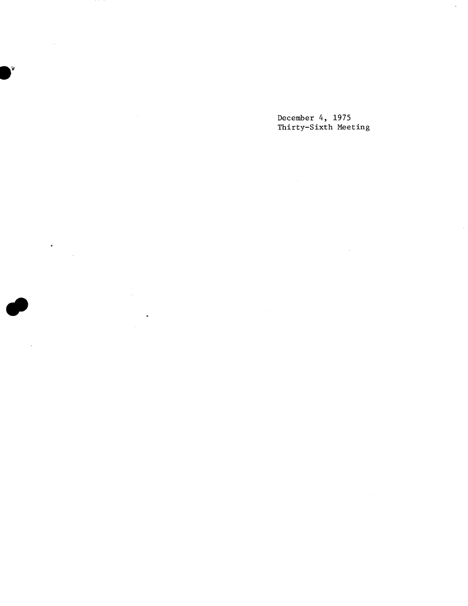December 4, 1975 Thirty-Sixth Meeting

 $\sim$ 

 $\sim$ 

 $\ddot{\phantom{a}}$ 

 $\bullet$ 

¥,

 $\hat{\mathcal{A}}$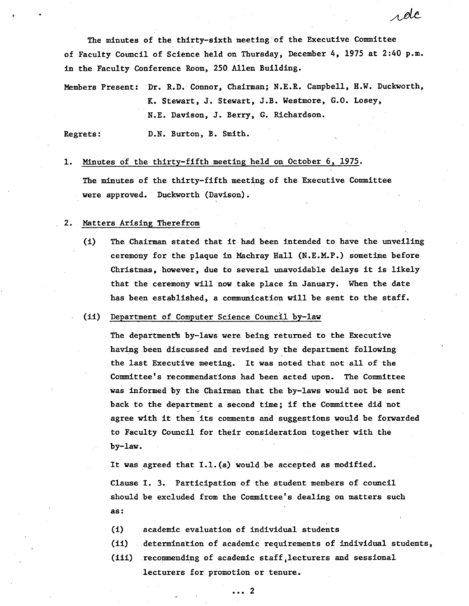The minutes of the thirty-sixth meeting'of the Executive Committee of Faculty Council of Science held on Thursday, December 4, 1975 at 2:40 p.m. in the Faculty Conference Room, 250 Allen Building.

s de

Members Present: Dr. R.D. Connor, Chairman; N.E.R. Campbell, H.W. Duckworth, K. Stewart, J. Stewart, J.B. Westmore, G.O. Losey, N.E. Davison, J. Berry, G. Richardson.

Regrets: D.N. Burton, B. Smith.

Minutes of the thirty-fifth meeting held on October 6, 1975.

The minutes of the thirty-fifth meeting of the Executive Committee were approved. Duckworth (Davison).

## Matters Arising Therefrom

 $(L)$ The Chairman stated that it had been intended to have the unveiling ceremony for the plaque in Machray Hall (N.E.M.P.) sometime before Christmas, however, due to several unavoidable delays it is likely that the ceremony will now take place in January. When the date has been established, a communication will be sent to the staff.

## (ii) Department of Computer Science Council by-law

The department's by-laws were being returned to the Executive having been discussed and revised by the department following the last Executive meeting. It was noted that not all of the Committee's recommendations had been acted upon. The Committee was informed by the Chairman that the by-laws would not be sent back to the department a second time; if the Committee did not agree with it then its comments and suggestions would be forwarded to Faculty Council for their consideration together with the by-law.

It was agreed that I.1.(a) would be accepted as modified. Clause I. 3. Participation of the student members of council should be excluded from the Committee's dealing on matters such as:

- academic evaluation of individual students  $(1)$
- determination of academic requirements of individual students,
- (iii) recommending of academic staff lecturers and sessional lecturers for promotion or tenure.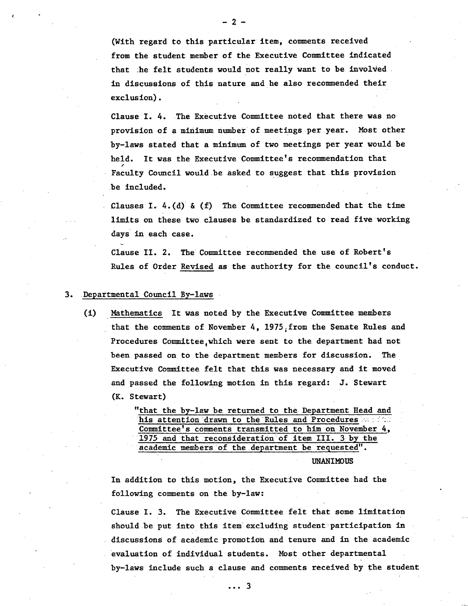(With regard to this particular item, comments received from the student member of the Executive Committee indicated that he felt students would not really want to be involved. in discussions of this nature and he also recommended their exclusion).

Clause I. 4. The Executive Committee noted that there was no provision of a minimum number of meetings .per year. Most other by-laws stated that a minimum of two meetings per year would be held. It was the Executive Committee's recommendation that Faculty Council would be asked to suggest that this provision be included.

Clauses I.  $4.(d)$  & (f) The Committee recommended that the time limits on these two clauses be standardized to read five working days in each case.

Clause II. 2. The Committee recommended the use of Robert's Rules of Order Revised as the authority for the council's conduct.

## 3. Departmental Council By-laws

(i) Mathematics It was noted by the Executive Committee members that the comments of November 4, 1975, from the Senate Rules and Procedures Committee,which were sent to the department had not been passed on to the department members for discussion. The Executive Committee felt that this was necessary and it moved and passed the following motion in this regard: J. Stewart (K. Stewart)

> "that the by-law be returned to the Department Read and his attention drawn to the Rules and Procedures is a final Committee's comments transmitted to him on November 4, 1975 and that reconsideration of item III. 3 by the lacãdêmic members of the department be requested".

> > **UNANIMOUS**

In addition to this motion, the Executive Committee had the following comments on the by-law:

Clause I. 3. The Executive Committee felt that some limitation should be put into this item excluding student participation in discussions of academic promotion and tenure and in the academic evaluation of individual students. Most other departmental by-laws include such a clause and comments received by the student

 $\ldots$  3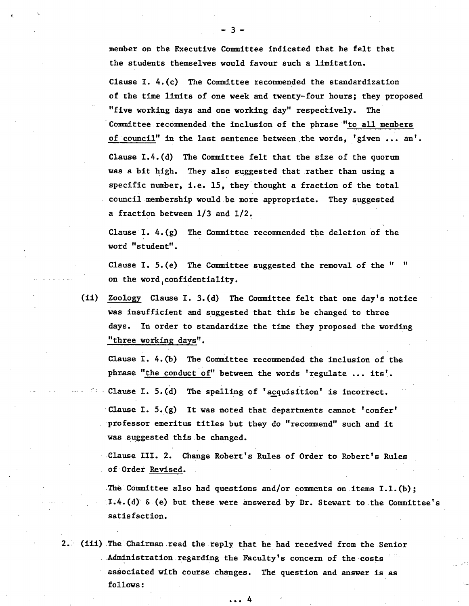member on the Executive Committee indicated that he felt that the students themselves would favour such a limitation.

Clause I. 4.(c) The Committee recommended the standardization of the time limits of one week and twenty-four hours; they proposed "five working days and one working day" respectively. The Committee recommended the inclusion of the phrase "to all members of council" in the last sentence between the words, 'given ... an'. Clause I.4.(d) The Committee felt that the size of the quorum was a bit high. They also suggested that rather than using a specific number, i.e.  $15$ , they thought a fraction of the total council membership would be more appropriate. They suggested a fraction between 1/3 and 1/2.

Clause I. 4.(g) The Committee recommended the deletion of the word "student".

Clause I.  $5.(e)$  The Committee suggested the removal of the " on the word,confidentiality.

(ii) Zoology Clause I. 3.(d) The Committee felt that one day's notice was insufficient and suggested that this be changed to three days. In order to standardize the time they proposed the wording "three working days".

Clause I.  $4.$  (b) The Committee recommended the inclusion of the phrase "the conduct of" between the words 'regulate ... its'.

Clause I. 5.(d) The spelling of 'acquisition' is incorrect. Clause I.  $5.(g)$  It was noted that departments cannot 'confer' professor emeritus titles but they do "recommend" such and it was suggested this be changed.

Clause III. 2. Change Robert's Rules of Order to Robert's Rules of Ordet.Revised.

The Committee also had questions and/or comments on items  $I.L.(b)$ ;  $I.4.$  (d) & (e) but these were answered by Dr. Stewart to the Committee's satisfaction.

2. (iii) The Chairman read the reply that he had received from the Senior Administration regarding the Faculty's concern of the  $costs$  associated with course changes. The question and answer is as follows:

... 4

-3-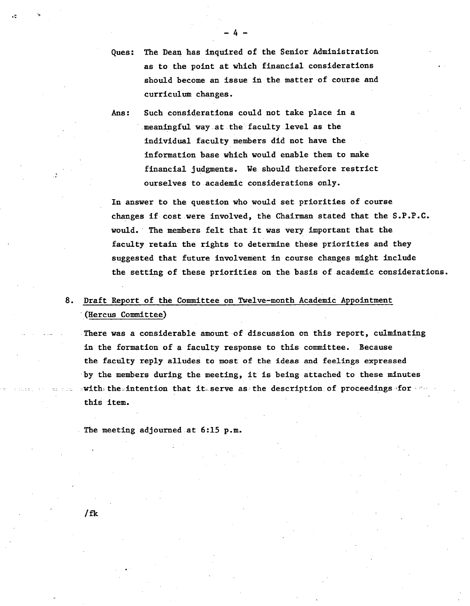- Ques: The Dean has inquired of the Senior Administration as to the point at which financial considerations should become an issue in the matter of course and curriculum changes.
- Ans: Such considerations could not take place in a meaningful way.at the faculty level as the individual faculty members did not have the information base which would enable them to make financial judgments. We should therefore restrict ourselves to.academic considerations only.

In answer to the question who would set priorities of course changes if cost were involved, the Chairman stated that the S.P.P.C. would. • The members felt that it was very important that the faculty retain the rights to determine these priorities and they suggested that future involvement in course changes might include the setting of these priorities on the basis of academic considerations.

## 8. Draft Report of the Committee on Twelve-month Academic Appointment (Hercus Committee)

There was a considerable amount of discussion on this report, culminating in the formation of a faculty response to this committee. Because the faculty reply alludes to most of the ideas and feelings expressed by the members during the meeting, it is being attached to these minutes  $-with$  the intention that it serve as the description of proceedings for  $w$ this item.

The meeting adjourned.at 6:15 p.m.

/fk

 $-4-$